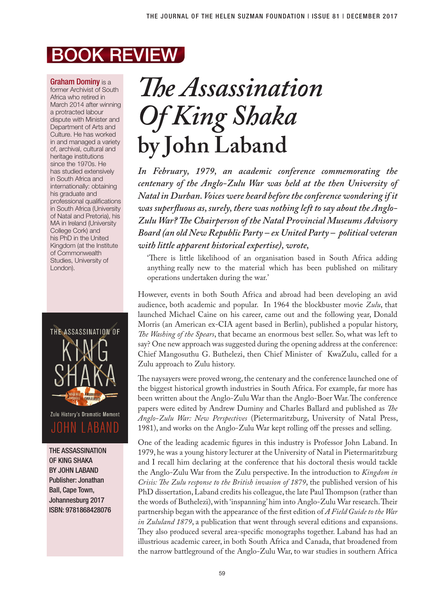## BOOK REVIEW

Graham Dominy is a former Archivist of South Africa who retired in March 2014 after winning a protracted labour dispute with Minister and Department of Arts and Culture. He has worked in and managed a variety of, archival, cultural and heritage institutions since the 1970s. He has studied extensively in South Africa and internationally: obtaining his graduate and professional qualifications in South Africa (University of Natal and Pretoria), his MA in Ireland (University College Cork) and his PhD in the United Kingdom (at the Institute of Commonwealth Studies, University of London).



THE ASSASSINATION OF KING SHAKA BY JOHN LABAND Publisher: Jonathan Ball, Cape Town, Johannesburg 2017 ISBN: 9781868428076

## *The Assassination Of King Shaka*  **by John Laband**

*In February, 1979, an academic conference commemorating the centenary of the Anglo-Zulu War was held at the then University of Natal in Durban. Voices were heard before the conference wondering if it was superfluous as, surely, there was nothing left to say about the Anglo-Zulu War? The Chairperson of the Natal Provincial Museums Advisory Board (an old New Republic Party – ex United Party – political veteran with little apparent historical expertise), wrote,* 

'There is little likelihood of an organisation based in South Africa adding anything really new to the material which has been published on military operations undertaken during the war.'

However, events in both South Africa and abroad had been developing an avid audience, both academic and popular. In 1964 the blockbuster movie *Zulu*, that launched Michael Caine on his career, came out and the following year, Donald Morris (an American ex-CIA agent based in Berlin), published a popular history, *The Washing of the Spears*, that became an enormous best seller. So, what was left to say? One new approach was suggested during the opening address at the conference: Chief Mangosuthu G. Buthelezi, then Chief Minister of KwaZulu, called for a Zulu approach to Zulu history.

The naysayers were proved wrong, the centenary and the conference launched one of the biggest historical growth industries in South Africa. For example, far more has been written about the Anglo-Zulu War than the Anglo-Boer War. The conference papers were edited by Andrew Duminy and Charles Ballard and published as *The Anglo-Zulu War: New Perspectives* (Pietermaritzburg, University of Natal Press, 1981), and works on the Anglo-Zulu War kept rolling off the presses and selling.

One of the leading academic figures in this industry is Professor John Laband. In 1979, he was a young history lecturer at the University of Natal in Pietermaritzburg and I recall him declaring at the conference that his doctoral thesis would tackle the Anglo-Zulu War from the Zulu perspective. In the introduction to *Kingdom in Crisis: The Zulu response to the British invasion of 1879*, the published version of his PhD dissertation, Laband credits his colleague, the late Paul Thompson (rather than the words of Buthelezi), with 'inspanning' him into Anglo-Zulu War research. Their partnership began with the appearance of the first edition of *A Field Guide to the War in Zululand 1879*, a publication that went through several editions and expansions. They also produced several area-specific monographs together. Laband has had an illustrious academic career, in both South Africa and Canada, that broadened from the narrow battleground of the Anglo-Zulu War, to war studies in southern Africa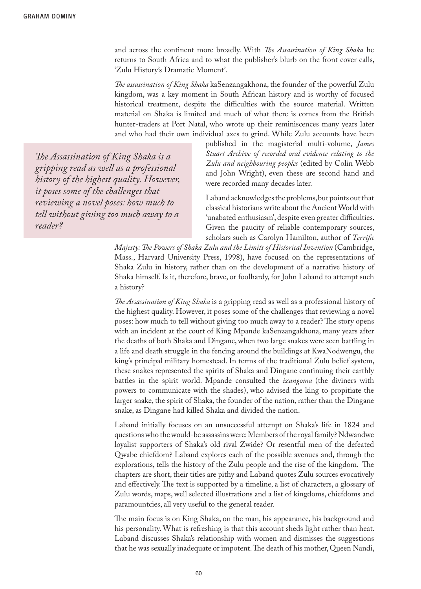and across the continent more broadly. With *The Assassination of King Shaka* he returns to South Africa and to what the publisher's blurb on the front cover calls, 'Zulu History's Dramatic Moment'.

*The assassination of King Shaka* kaSenzangakhona, the founder of the powerful Zulu kingdom, was a key moment in South African history and is worthy of focused historical treatment, despite the difficulties with the source material. Written material on Shaka is limited and much of what there is comes from the British hunter-traders at Port Natal, who wrote up their reminiscences many years later and who had their own individual axes to grind. While Zulu accounts have been

*The Assassination of King Shaka is a gripping read as well as a professional history of the highest quality. However, it poses some of the challenges that reviewing a novel poses: how much to tell without giving too much away to a reader?* 

published in the magisterial multi-volume, *James Stuart Archive of recorded oral evidence relating to the Zulu and neighbouring peoples* (edited by Colin Webb and John Wright), even these are second hand and were recorded many decades later.

Laband acknowledges the problems, but points out that classical historians write about the Ancient World with 'unabated enthusiasm', despite even greater difficulties. Given the paucity of reliable contemporary sources, scholars such as Carolyn Hamilton, author of *Terrific* 

*Majesty: The Powers of Shaka Zulu and the Limits of Historical Invention* (Cambridge, Mass., Harvard University Press, 1998), have focused on the representations of Shaka Zulu in history, rather than on the development of a narrative history of Shaka himself. Is it, therefore, brave, or foolhardy, for John Laband to attempt such a history?

*The Assassination of King Shaka* is a gripping read as well as a professional history of the highest quality. However, it poses some of the challenges that reviewing a novel poses: how much to tell without giving too much away to a reader? The story opens with an incident at the court of King Mpande kaSenzangakhona, many years after the deaths of both Shaka and Dingane, when two large snakes were seen battling in a life and death struggle in the fencing around the buildings at KwaNodwengu, the king's principal military homestead. In terms of the traditional Zulu belief system, these snakes represented the spirits of Shaka and Dingane continuing their earthly battles in the spirit world. Mpande consulted the *izangoma* (the diviners with powers to communicate with the shades), who advised the king to propitiate the larger snake, the spirit of Shaka, the founder of the nation, rather than the Dingane snake, as Dingane had killed Shaka and divided the nation.

Laband initially focuses on an unsuccessful attempt on Shaka's life in 1824 and questions who the would-be assassins were: Members of the royal family? Ndwandwe loyalist supporters of Shaka's old rival Zwide? Or resentful men of the defeated Qwabe chiefdom? Laband explores each of the possible avenues and, through the explorations, tells the history of the Zulu people and the rise of the kingdom. The chapters are short, their titles are pithy and Laband quotes Zulu sources evocatively and effectively. The text is supported by a timeline, a list of characters, a glossary of Zulu words, maps, well selected illustrations and a list of kingdoms, chiefdoms and paramountcies, all very useful to the general reader.

The main focus is on King Shaka, on the man, his appearance, his background and his personality. What is refreshing is that this account sheds light rather than heat. Laband discusses Shaka's relationship with women and dismisses the suggestions that he was sexually inadequate or impotent. The death of his mother, Queen Nandi,